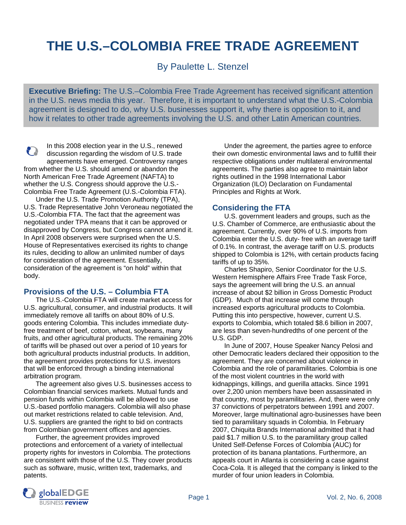# **THE U.S.–COLOMBIA FREE TRADE AGREEMENT**

By Paulette L. Stenzel

**Executive Briefing:** The U.S.–Colombia Free Trade Agreement has received significant attention in the U.S. news media this year. Therefore, it is important to understand what the U.S.-Colombia agreement is designed to do, why U.S. businesses support it, why there is opposition to it, and how it relates to other trade agreements involving the U.S. and other Latin American countries.

In this 2008 election year in the U.S., renewed 2 discussion regarding the wisdom of U.S. trade agreements have emerged. Controversy ranges from whether the U.S. should amend or abandon the North American Free Trade Agreement (NAFTA) to whether the U.S. Congress should approve the U.S.- Colombia Free Trade Agreement (U.S.-Colombia FTA).

Under the U.S. Trade Promotion Authority (TPA), U.S. Trade Representative John Veroneau negotiated the U.S.-Colombia FTA. The fact that the agreement was negotiated under TPA means that it can be approved or disapproved by Congress, but Congress cannot amend it. In April 2008 observers were surprised when the U.S. House of Representatives exercised its rights to change its rules, deciding to allow an unlimited number of days for consideration of the agreement. Essentially, consideration of the agreement is "on hold" within that body.

## **Provisions of the U.S. – Columbia FTA**

The U.S.-Colombia FTA will create market access for U.S. agricultural, consumer, and industrial products. It will immediately remove all tariffs on about 80% of U.S. goods entering Colombia. This includes immediate dutyfree treatment of beef, cotton, wheat, soybeans, many fruits, and other agricultural products. The remaining 20% of tariffs will be phased out over a period of 10 years for both agricultural products industrial products. In addition, the agreement provides protections for U.S. investors that will be enforced through a binding international arbitration program.

The agreement also gives U.S. businesses access to Colombian financial services markets. Mutual funds and pension funds within Colombia will be allowed to use U.S.-based portfolio managers. Colombia will also phase out market restrictions related to cable television. And, U.S. suppliers are granted the right to bid on contracts from Colombian government offices and agencies.

Further, the agreement provides improved protections and enforcement of a variety of intellectual property rights for investors in Colombia. The protections are consistent with those of the U.S. They cover products such as software, music, written text, trademarks, and patents.

 Under the agreement, the parties agree to enforce their own domestic environmental laws and to fulfill their respective obligations under multilateral environmental agreements. The parties also agree to maintain labor rights outlined in the 1998 International Labor Organization (ILO) Declaration on Fundamental Principles and Rights at Work.

## **Considering the FTA**

U.S. government leaders and groups, such as the U.S. Chamber of Commerce, are enthusiastic about the agreement. Currently, over 90% of U.S. imports from Colombia enter the U.S. duty- free with an average tariff of 0.1%. In contrast, the average tariff on U.S. products shipped to Colombia is 12%, with certain products facing tariffs of up to 35%.

Charles Shapiro, Senior Coordinator for the U.S. Western Hemisphere Affairs Free Trade Task Force, says the agreement will bring the U.S. an annual increase of about \$2 billion in Gross Domestic Product (GDP). Much of that increase will come through increased exports agricultural products to Colombia. Putting this into perspective, however, current U.S. exports to Colombia, which totaled \$8.6 billion in 2007, are less than seven-hundredths of one percent of the U.S. GDP.

In June of 2007, House Speaker Nancy Pelosi and other Democratic leaders declared their opposition to the agreement. They are concerned about violence in Colombia and the role of paramilitaries. Colombia is one of the most violent countries in the world with kidnappings, killings, and guerilla attacks. Since 1991 over 2,200 union members have been assassinated in that country, most by paramilitaries. And, there were only 37 convictions of perpetrators between 1991 and 2007. Moreover, large multinational agro-businesses have been tied to paramilitary squads in Colombia. In February 2007, Chiquita Brands International admitted that it had paid \$1.7 million U.S. to the paramilitary group called United Self-Defense Forces of Colombia (AUC) for protection of its banana plantations. Furthermore, an appeals court in Atlanta is considering a case against Coca-Cola. It is alleged that the company is linked to the murder of four union leaders in Colombia.